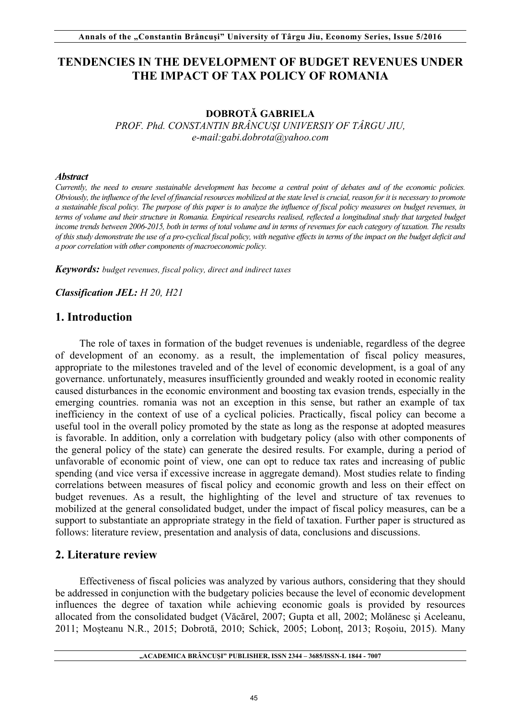# **TENDENCIES IN THE DEVELOPMENT OF BUDGET REVENUES UNDER THE IMPACT OF TAX POLICY OF ROMANIA**

### **DOBROTĂ GABRIELA**

*PROF. Phd. CONSTANTIN BRÂNCUȘI UNIVERSIY OF TÂRGU JIU, e-mail:gabi.dobrota@yahoo.com* 

### *Abstract*

*Currently, the need to ensure sustainable development has become a central point of debates and of the economic policies. Obviously, the influence of the level of financial resources mobilized at the state level is crucial, reason for it is necessary to promote a sustainable fiscal policy. The purpose of this paper is to analyze the influence of fiscal policy measures on budget revenues, in terms of volume and their structure in Romania. Empirical researchs realised, reflected a longitudinal study that targeted budget income trends between 2006-2015, both in terms of total volume and in terms of revenues for each category of taxation. The results of this study demonstrate the use of a pro-cyclical fiscal policy, with negative effects in terms of the impact on the budget deficit and a poor correlation with other components of macroeconomic policy.*

*Keywords: budget revenues, fiscal policy, direct and indirect taxes*

*Classification JEL: H 20, H21* 

# **1. Introduction**

The role of taxes in formation of the budget revenues is undeniable, regardless of the degree of development of an economy. as a result, the implementation of fiscal policy measures, appropriate to the milestones traveled and of the level of economic development, is a goal of any governance. unfortunately, measures insufficiently grounded and weakly rooted in economic reality caused disturbances in the economic environment and boosting tax evasion trends, especially in the emerging countries. romania was not an exception in this sense, but rather an example of tax inefficiency in the context of use of a cyclical policies. Practically, fiscal policy can become a useful tool in the overall policy promoted by the state as long as the response at adopted measures is favorable. In addition, only a correlation with budgetary policy (also with other components of the general policy of the state) can generate the desired results. For example, during a period of unfavorable of economic point of view, one can opt to reduce tax rates and increasing of public spending (and vice versa if excessive increase in aggregate demand). Most studies relate to finding correlations between measures of fiscal policy and economic growth and less on their effect on budget revenues. As a result, the highlighting of the level and structure of tax revenues to mobilized at the general consolidated budget, under the impact of fiscal policy measures, can be a support to substantiate an appropriate strategy in the field of taxation. Further paper is structured as follows: literature review, presentation and analysis of data, conclusions and discussions.

# **2. Literature review**

Effectiveness of fiscal policies was analyzed by various authors, considering that they should be addressed in conjunction with the budgetary policies because the level of economic development influences the degree of taxation while achieving economic goals is provided by resources allocated from the consolidated budget (Văcărel, 2007; Gupta et all, 2002; Molănesc și Aceleanu, 2011; Moșteanu N.R., 2015; Dobrotă, 2010; Schick, 2005; Lobonț, 2013; Roșoiu, 2015). Many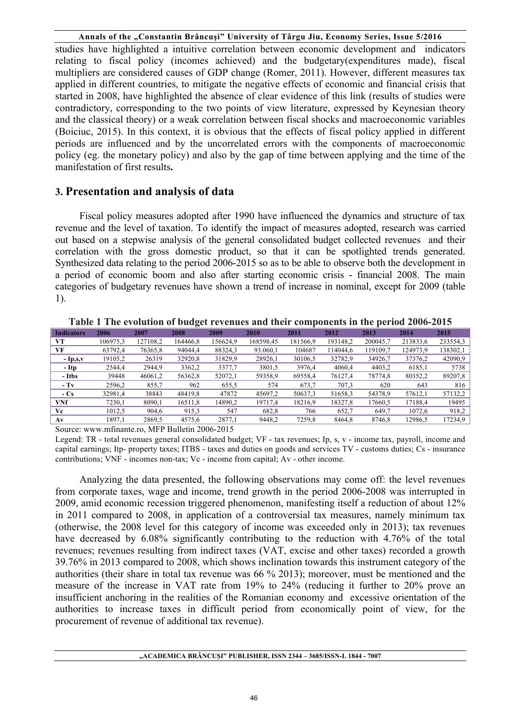studies have highlighted a intuitive correlation between economic development and indicators relating to fiscal policy (incomes achieved) and the budgetary(expenditures made), fiscal multipliers are considered causes of GDP change (Romer, 2011). However, different measures tax applied in different countries, to mitigate the negative effects of economic and financial crisis that started in 2008, have highlighted the absence of clear evidence of this link (results of studies were contradictory, corresponding to the two points of view literature, expressed by Keynesian theory and the classical theory) or a weak correlation between fiscal shocks and macroeconomic variables (Boiciuc, 2015). In this context, it is obvious that the effects of fiscal policy applied in different periods are influenced and by the uncorrelated errors with the components of macroeconomic policy (eg. the monetary policy) and also by the gap of time between applying and the time of the manifestation of first results**.** 

# **3. Presentation and analysis of data**

 Fiscal policy measures adopted after 1990 have influenced the dynamics and structure of tax revenue and the level of taxation. To identify the impact of measures adopted, research was carried out based on a stepwise analysis of the general consolidated budget collected revenues and their correlation with the gross domestic product, so that it can be spotlighted trends generated. Synthesized data relating to the period 2006-2015 so as to be able to observe both the development in a period of economic boom and also after starting economic crisis - financial 2008. The main categories of budgetary revenues have shown a trend of increase in nominal, except for 2009 (table 1).

| <b>Indicators</b> | 2006     | 2007     | 2008     | 2009     | 2010      | 2011     | 2012     | 2013     | 2014     | 2015     |
|-------------------|----------|----------|----------|----------|-----------|----------|----------|----------|----------|----------|
| VТ                | 106975.3 | 127108,2 | 164466.8 | 156624.9 | 168598,45 | 181566.9 | 193148,2 | 200045.7 | 213833.6 | 233554,3 |
| VF                | 63792.4  | 76365,8  | 94044,4  | 88324,3  | 93.060,1  | 104687   | 14044.6  | 119109,7 | 124973,9 | 138302,1 |
| $-Ip,s,v$         | 19105,2  | 26319    | 32920,8  | 31829,9  | 28926,1   | 30106,5  | 32782,9  | 34926,7  | 37376,2  | 42090,9  |
| - Itp             | 2544.4   | 2944,9   | 3362,2   | 3377.7   | 3801.5    | 3976,4   | 4060.4   | 4403,2   | 6185,1   | 5738     |
| - Itbs            | 39448    | 46061,2  | 56362,8  | 52072,1  | 59358,9   | 69558,4  | 76127,4  | 78774,8  | 80352,2  | 89207,8  |
| $-Tv$             | 2596,2   | 855,7    | 962      | 655.5    | 574       | 673.7    | 707,3    | 620      | 643      | 816      |
| $-Cs$             | 32981,4  | 38843    | 48419.8  | 47872    | 45697,2   | 50637,3  | 51658,3  | 54378,9  | 57612,1  | 57132,2  |
| VNf               | 7230,1   | 8090,1   | 16511,8  | 14890,2  | 19717.4   | 18216,9  | 18327,8  | 17660,5  | 17188,4  | 19495    |
| Vc                | 1012.5   | 904,6    | 915.3    | 547      | 682,8     | 766      | 652,7    | 649,7    | 1072,6   | 918.2    |
| Av                | 1897,1   | 2869.5   | 4575,6   | 2877,1   | 9448,2    | 7259,8   | 8464,8   | 8746,8   | 12986,5  | 17234,9  |

**Table 1 The evolution of budget revenues and their components in the period 2006-2015** 

Source: www.mfinante.ro, MFP Bulletin 2006-2015

Legend: TR - total revenues general consolidated budget; VF - tax revenues; Ip, s, v - income tax, payroll, income and capital earnings; Itp- property taxes; ITBS - taxes and duties on goods and services TV - customs duties; Cs - insurance contributions; VNF - incomes non-tax; Vc - income from capital; Av - other income.

Analyzing the data presented, the following observations may come off: the level revenues from corporate taxes, wage and income, trend growth in the period 2006-2008 was interrupted in 2009, amid economic recession triggered phenomenon, manifesting itself a reduction of about 12% in 2011 compared to 2008, in application of a controversial tax measures, namely minimum tax (otherwise, the 2008 level for this category of income was exceeded only in 2013); tax revenues have decreased by 6.08% significantly contributing to the reduction with 4.76% of the total revenues; revenues resulting from indirect taxes (VAT, excise and other taxes) recorded a growth 39.76% in 2013 compared to 2008, which shows inclination towards this instrument category of the authorities (their share in total tax revenue was 66 % 2013); moreover, must be mentioned and the measure of the increase in VAT rate from 19% to 24% (reducing it further to 20% prove an insufficient anchoring in the realities of the Romanian economy and excessive orientation of the authorities to increase taxes in difficult period from economically point of view, for the procurement of revenue of additional tax revenue).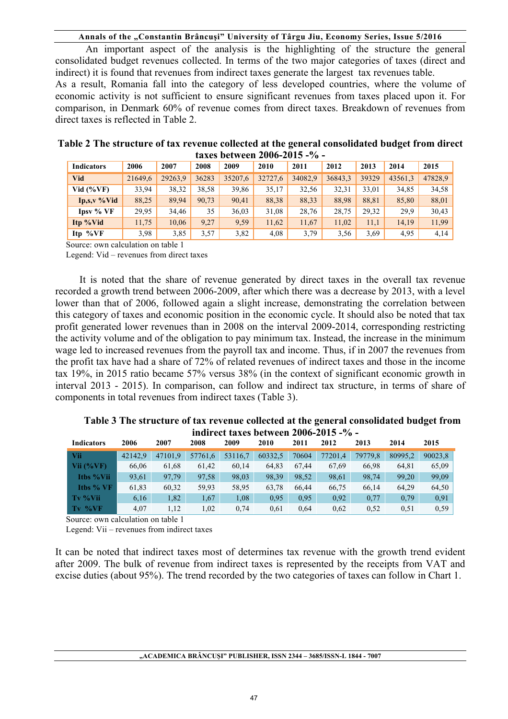An important aspect of the analysis is the highlighting of the structure the general consolidated budget revenues collected. In terms of the two major categories of taxes (direct and indirect) it is found that revenues from indirect taxes generate the largest tax revenues table. As a result, Romania fall into the category of less developed countries, where the volume of economic activity is not sufficient to ensure significant revenues from taxes placed upon it. For comparison, in Denmark 60% of revenue comes from direct taxes. Breakdown of revenues from direct taxes is reflected in Table 2.

| <b>Indicators</b>         | 2006    | 2007    | 2008  | 2009    | 2010    | 2011    | 2012    | 2013  | 2014    | 2015    |  |
|---------------------------|---------|---------|-------|---------|---------|---------|---------|-------|---------|---------|--|
| Vid                       | 21649,6 | 29263,9 | 36283 | 35207.6 | 32727,6 | 34082,9 | 36843,3 | 39329 | 43561,3 | 47828,9 |  |
| Vid $(\%VF)$              | 33,94   | 38,32   | 38,58 | 39,86   | 35,17   | 32,56   | 32,31   | 33,01 | 34,85   | 34,58   |  |
| $Ip, s, v \mathcal{N}$ id | 88,25   | 89,94   | 90,73 | 90,41   | 88,38   | 88,33   | 88,98   | 88,81 | 85,80   | 88,01   |  |
| Ipsy % VF                 | 29.95   | 34,46   | 35    | 36,03   | 31,08   | 28,76   | 28,75   | 29,32 | 29.9    | 30,43   |  |
| Itp %Vid                  | 11,75   | 10,06   | 9,27  | 9.59    | 11,62   | 11,67   | 11,02   | 11,1  | 14,19   | 11,99   |  |
| Itp $\%VF$                | 3,98    | 3.85    | 3,57  | 3,82    | 4,08    | 3,79    | 3,56    | 3,69  | 4,95    | 4,14    |  |

### **Table 2 The structure of tax revenue collected at the general consolidated budget from direct taxes between 2006-2015 -% -**

Source: own calculation on table 1

Legend: Vid – revenues from direct taxes

It is noted that the share of revenue generated by direct taxes in the overall tax revenue recorded a growth trend between 2006-2009, after which there was a decrease by 2013, with a level lower than that of 2006, followed again a slight increase, demonstrating the correlation between this category of taxes and economic position in the economic cycle. It should also be noted that tax profit generated lower revenues than in 2008 on the interval 2009-2014, corresponding restricting the activity volume and of the obligation to pay minimum tax. Instead, the increase in the minimum wage led to increased revenues from the payroll tax and income. Thus, if in 2007 the revenues from the profit tax have had a share of 72% of related revenues of indirect taxes and those in the income tax 19%, in 2015 ratio became 57% versus 38% (in the context of significant economic growth in interval 2013 - 2015). In comparison, can follow and indirect tax structure, in terms of share of components in total revenues from indirect taxes (Table 3).

### **Indicators 2006 2007 2008 2009 2010 2011 2012 2013 2014 2015 Vii** 42142,9 47101,9 57761,6 53116,7 60332,5 70604 77201,4 79779,8 80995,2 90023,8 **Vii (%VF)** 66,06 61,68 61,42 60,14 64,83 67,44 67,69 66,98 64,81 65,09 **Itbs %Vii** 93,61 97,79 97,58 98,03 98,39 98,52 98,61 98,74 99,20 99,09 **Itbs % VF** 61,83 60,32 59,93 58,95 63,78 66,44 66,75 66,14 64,29 64,50 **Tv %Vii** 6,16 1,82 1,67 1,08 0,95 0,95 0,92 0,77 0,79 0,91 **Tv %VF** 4,07 1,12 1,02 0,74 0,61 0,64 0,62 0,52 0,51 0,59

**Table 3 The structure of tax revenue collected at the general consolidated budget from indirect taxes between 2006-2015 -% -** 

Source: own calculation on table 1

Legend: Vii – revenues from indirect taxes

It can be noted that indirect taxes most of determines tax revenue with the growth trend evident after 2009. The bulk of revenue from indirect taxes is represented by the receipts from VAT and excise duties (about 95%). The trend recorded by the two categories of taxes can follow in Chart 1.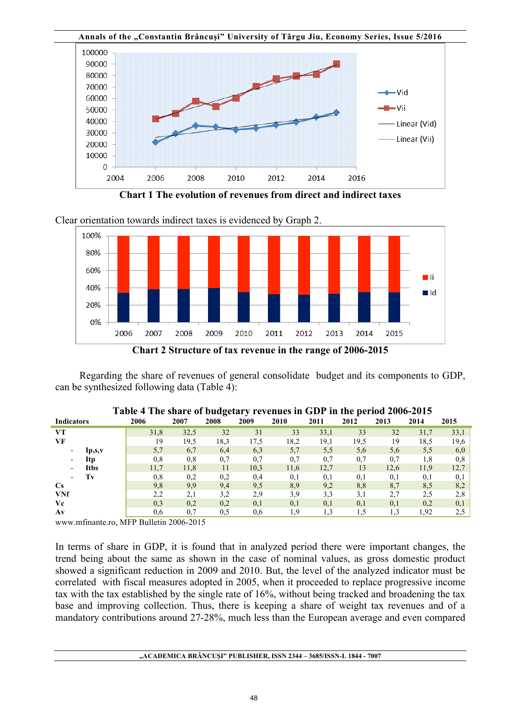

**Chart 1 The evolution of revenues from direct and indirect taxes** 

Clear orientation towards indirect taxes is evidenced by Graph 2.



Regarding the share of revenues of general consolidate budget and its components to GDP, can be synthesized following data (Table 4):

| <b>Indicators</b>                       | 2006     | 2007 | 2008 | 2009 | 2010 | 2011 | 2012 | 2013 | 2014 | 2015 |
|-----------------------------------------|----------|------|------|------|------|------|------|------|------|------|
| VТ                                      | 31,8     | 32,5 | 32   | 31   | 33   | 33,1 | 33   | 32   | 31,7 | 33,1 |
| VF                                      | 19       | 19,5 | 18.3 | 17,5 | 18,2 | 19,1 | 19,5 | 19   | 18,5 | 19.6 |
| lp,s,v<br>$\overline{\phantom{a}}$      | 5,7      | 6,7  | 6,4  | 6,3  | 5,7  | 5,5  | 5,6  | 5,6  | 5,5  | 6.0  |
| Itp<br>$\blacksquare$                   | $_{0,8}$ | 0,8  | 0,7  | 0,7  | 0,7  | 0,7  | 0,7  | 0,7  | 1,8  | 0.8  |
| <b>Itbs</b><br>$\overline{\phantom{a}}$ | 11,7     | 11,8 | 11   | 10,3 | 11.6 | 12,7 | 13   | 12,6 | 11,9 | 12.7 |
| Tv<br>$\overline{\phantom{a}}$          | 0,8      | 0,2  | 0,2  | 0,4  | 0,1  | 0,1  | 0,1  | 0,1  | 0,1  | 0,1  |
| $\mathbf{C}\mathbf{s}$                  | 9,8      | 9,9  | 9,4  | 9,5  | 8.9  | 9,2  | 8,8  | 8,7  | 8,5  | 8.2  |
| <b>VNf</b>                              | 2,2      | 2,1  | 3,2  | 2.9  | 3,9  | 3,3  | 3,1  | 2.7  | 2,5  | 2.8  |
| Vc                                      | 0,3      | 0,2  | 0,2  | 0,1  | 0,1  | 0,1  | 0,1  | 0,1  | 0,2  | 0.1  |
| Av                                      | 0,6      | 0.7  | 0.5  | 0.6  | l.9  | 1.3  | 1.5  | 1,3  | 1.92 |      |

www.mfinante.ro, MFP Bulletin 2006-2015

In terms of share in GDP, it is found that in analyzed period there were important changes, the trend being about the same as shown in the case of nominal values, as gross domestic product showed a significant reduction in 2009 and 2010. But, the level of the analyzed indicator must be correlated with fiscal measures adopted in 2005, when it proceeded to replace progressive income tax with the tax established by the single rate of 16%, without being tracked and broadening the tax base and improving collection. Thus, there is keeping a share of weight tax revenues and of a mandatory contributions around 27-28%, much less than the European average and even compared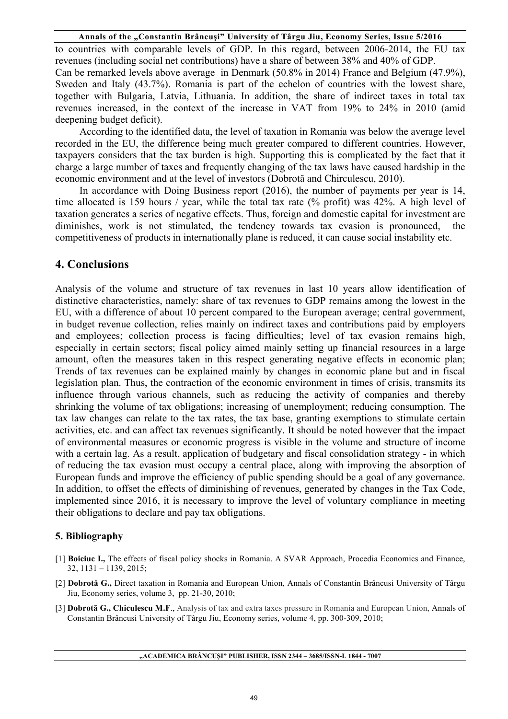to countries with comparable levels of GDP. In this regard, between 2006-2014, the EU tax revenues (including social net contributions) have a share of between 38% and 40% of GDP. Can be remarked levels above average in Denmark (50.8% in 2014) France and Belgium (47.9%), Sweden and Italy (43.7%). Romania is part of the echelon of countries with the lowest share, together with Bulgaria, Latvia, Lithuania. In addition, the share of indirect taxes in total tax revenues increased, in the context of the increase in VAT from 19% to 24% in 2010 (amid deepening budget deficit).

According to the identified data, the level of taxation in Romania was below the average level recorded in the EU, the difference being much greater compared to different countries. However, taxpayers considers that the tax burden is high. Supporting this is complicated by the fact that it charge a large number of taxes and frequently changing of the tax laws have caused hardship in the economic environment and at the level of investors (Dobrotă and Chirculescu, 2010).

In accordance with Doing Business report (2016), the number of payments per year is 14, time allocated is 159 hours / year, while the total tax rate (% profit) was 42%. A high level of taxation generates a series of negative effects. Thus, foreign and domestic capital for investment are diminishes, work is not stimulated, the tendency towards tax evasion is pronounced, the competitiveness of products in internationally plane is reduced, it can cause social instability etc.

# **4. Conclusions**

Analysis of the volume and structure of tax revenues in last 10 years allow identification of distinctive characteristics, namely: share of tax revenues to GDP remains among the lowest in the EU, with a difference of about 10 percent compared to the European average; central government, in budget revenue collection, relies mainly on indirect taxes and contributions paid by employers and employees; collection process is facing difficulties; level of tax evasion remains high, especially in certain sectors; fiscal policy aimed mainly setting up financial resources in a large amount, often the measures taken in this respect generating negative effects in economic plan; Trends of tax revenues can be explained mainly by changes in economic plane but and in fiscal legislation plan. Thus, the contraction of the economic environment in times of crisis, transmits its influence through various channels, such as reducing the activity of companies and thereby shrinking the volume of tax obligations; increasing of unemployment; reducing consumption. The tax law changes can relate to the tax rates, the tax base, granting exemptions to stimulate certain activities, etc. and can affect tax revenues significantly. It should be noted however that the impact of environmental measures or economic progress is visible in the volume and structure of income with a certain lag. As a result, application of budgetary and fiscal consolidation strategy - in which of reducing the tax evasion must occupy a central place, along with improving the absorption of European funds and improve the efficiency of public spending should be a goal of any governance. In addition, to offset the effects of diminishing of revenues, generated by changes in the Tax Code, implemented since 2016, it is necessary to improve the level of voluntary compliance in meeting their obligations to declare and pay tax obligations.

# **5. Bibliography**

- [1] **Boiciuc I.,** The effects of fiscal policy shocks in Romania. A SVAR Approach, Procedia Economics and Finance, 32, 1131 – 1139, 2015;
- [2] **Dobrotă G.,** Direct taxation in Romania and European Union, Annals of Constantin Brâncusi University of Târgu Jiu, Economy series, volume 3, pp. 21-30, 2010;
- [3] **Dobrotă G., Chiculescu M.F**., Analysis of tax and extra taxes pressure in Romania and European Union, Annals of Constantin Brâncusi University of Târgu Jiu, Economy series, volume 4, pp. 300-309, 2010;